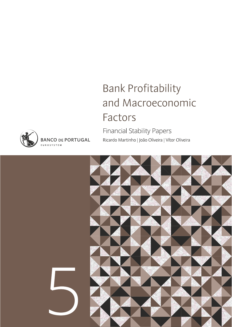# **Bank Profitability** and Macroeconomic Factors

**Financial Stability Papers** Ricardo Martinho | João Oliveira | Vítor Oliveira





**BANCO DE PORTUGAL EUROSYSTEM**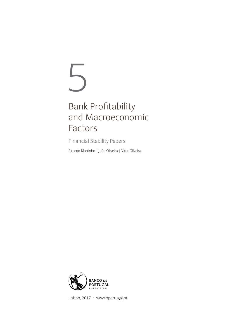# 5

# Bank Profitability and Macroeconomic Factors

Financial Stability Papers

Ricardo Martinho | João Oliveira | Vítor Oliveira



Lisbon, 2017 • www.bportugal.pt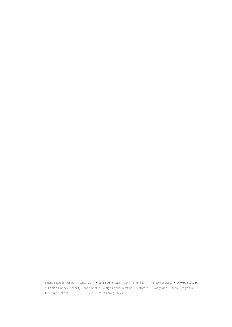Financial Stability Papers | August 2017 **•** Banco de Portugal Av. Almirante Reis, 71 | 1150-012 Lisboa **•** www.bportugal.pt **•** Edition Financial Stability Department **•** Design Communication Directorate | Image and Graphic Design Unit **•** ISBN 978-989-678-310-5 (online) **•** ISSN 2183-4067 (online)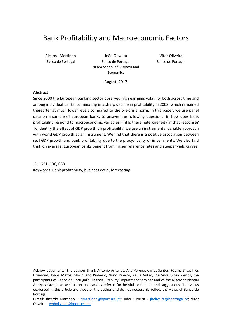## Bank Profitability and Macroeconomic Factors

Ricardo Martinho João Oliveira Vítor Oliveira Banco de Portugal **Banco de Portugal** Banco de Portugal Banco de Portugal NOVA School of Business and Economics

August, 2017

#### **Abstract**

Since 2000 the European banking sector observed high earnings volatility both across time and among individual banks, culminating in a sharp decline in profitability in 2008, which remained thereafter at much lower levels compared to the pre‐crisis norm. In this paper, we use panel data on a sample of European banks to answer the following questions: (i) how does bank profitability respond to macroeconomic variables? (ii) Is there heterogeneity in that response? To identify the effect of GDP growth on profitability, we use an instrumental variable approach with world GDP growth as an instrument. We find that there is a positive association between real GDP growth and bank profitability due to the procyclicality of impairments. We also find that, on average, European banks benefit from higher reference rates and steeper yield curves.

JEL: G21, C36, C53 Keywords: Bank profitability, business cycle, forecasting.

Acknowledgements: The authors thank António Antunes, Ana Pereira, Carlos Santos, Fátima Silva, Inês Drumond, Joana Matos, Maximiano Pinheiro, Nuno Ribeiro, Paula Antão, Rui Silva, Sílvia Santos, the participants of Banco de Portugal's Financial Stability Department seminar and of the Macroprudential Analysis Group, as well as an anonymous referee for helpful comments and suggestions. The views expressed in this article are those of the author and do not necessarily reflect the views of Banco de Portugal.

E-mail: Ricardo Martinho – rjmartinho@bportugal.pt; João Oliveira - jholiveira@bportugal.pt; Vítor Oliveira – vmboliveira@bportugal.pt.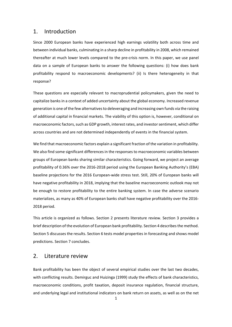#### 1. Introduction

Since 2000 European banks have experienced high earnings volatility both across time and between individual banks, culminating in a sharp decline in profitability in 2008, which remained thereafter at much lower levels compared to the pre-crisis norm. In this paper, we use panel data on a sample of European banks to answer the following questions: (i) how does bank profitability respond to macroeconomic developments? (ii) Is there heterogeneity in that response?

These questions are especially relevant to macroprudential policymakers, given the need to capitalize banks in a context of added uncertainty about the global economy. Increased revenue generation is one of the few alternatives to deleveraging and increasing own funds via the raising of additional capital in financial markets. The viability of this option is, however, conditional on macroeconomic factors, such as GDP growth, interest rates, and investor sentiment, which differ across countries and are not determined independently of events in the financial system.

We find that macroeconomic factors explain a significant fraction of the variation in profitability. We also find some significant differences in the responses to macroeconomic variables between groups of European banks sharing similar characteristics. Going forward, we project an average profitability of 0.36% over the 2016‐2018 period using the European Banking Authority's (EBA) baseline projections for the 2016 European-wide stress test. Still, 20% of European banks will have negative profitability in 2018, implying that the baseline macroeconomic outlook may not be enough to restore profitability to the entire banking system. In case the adverse scenario materializes, as many as 40% of European banks shall have negative profitability over the 2016‐ 2018 period.

This article is organized as follows. Section 2 presents literature review. Section 3 provides a brief description of the evolution of European bank profitability. Section 4 describesthe method. Section 5 discusses the results. Section 6 tests model properties in forecasting and shows model predictions. Section 7 concludes.

#### 2. Literature review

Bank profitability has been the object of several empirical studies over the last two decades, with conflicting results. Demirguc and Huizinga (1999) study the effects of bank characteristics, macroeconomic conditions, profit taxation, deposit insurance regulation, financial structure, and underlying legal and institutional indicators on bank return on assets, as well as on the net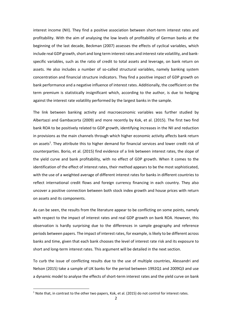interest income (NII). They find a positive association between short‐term interest rates and profitability. With the aim of analysing the low levels of profitability of German banks at the beginning of the last decade, Beckman (2007) assesses the effects of cyclical variables, which include real GDP growth, short and long term interest rates and interest rate volatility, and bank‐ specific variables, such as the ratio of credit to total assets and leverage, on bank return on assets. He also includes a number of so-called structural variables, namely banking system concentration and financial structure indicators. They find a positive impact of GDP growth on bank performance and a negative influence of interest rates. Additionally, the coefficient on the term premium is statistically insignificant which, according to the author, is due to hedging against the interest rate volatility performed by the largest banks in the sample.

The link between banking activity and macroeconomic variables was further studied by Albertazzi and Gambacorta (2009) and more recently by Kok, et al. (2015). The first two find bank ROA to be positively related to GDP growth, identifying increases in the NII and reduction in provisions as the main channels through which higher economic activity affects bank return on assets<sup>1</sup>. They attribute this to higher demand for financial services and lower credit risk of counterparties. Borio, et al. (2015) find evidence of a link between interest rates, the slope of the yield curve and bank profitability, with no effect of GDP growth. When it comes to the identification of the effect of interest rates, their method appears to be the most sophisticated, with the use of a weighted average of different interest rates for banks in different countries to reflect international credit flows and foreign currency financing in each country. They also uncover a positive connection between both stock index growth and house prices with return on assets and its components.

As can be seen, the results from the literature appear to be conflicting on some points, namely with respect to the impact of interest rates and real GDP growth on bank ROA. However, this observation is hardly surprising due to the differences in sample geography and reference periods between papers. The impact of interest rates, for example, is likely to be different across banks and time, given that each bank chooses the level of interest rate risk and its exposure to short and long‐term interest rates. This argument will be detailed in the next section.

To curb the issue of conflicting results due to the use of multiple countries, Alessandri and Nelson (2015) take a sample of UK banks for the period between 1992Q1 and 2009Q3 and use a dynamic model to analyse the effects of short-term interest rates and the yield curve on bank

 $1$  Note that, in contrast to the other two papers, Kok, et al. (2015) do not control for interest rates.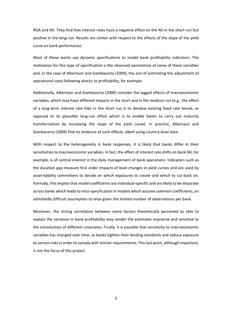ROA and NII. They find that interest rates have a negative effect on the NII in the short-run but positive in the long‐run. Results are similar with respect to the effects of the slope of the yield curve on bank performance.

Most of these works use dynamic specifications to model bank profitability indicators. The motivation for this type of specification is the observed persistence of some of these variables and, in the case of Albertazzi and Gambacorta (2009), the aim of estimating the adjustment of operational costs following shocks to profitability, for example.

Additionally, Albertazzi and Gambacorta (2009) consider the lagged effects of macroeconomic variables, which may have different impacts in the short and in the medium run (e.g.: the effect of a long-term interest rate hike in the short run is to devalue existing fixed rate bonds, as opposed to its plausible long‐run effect which is to enable banks to carry out maturity transformation by increasing the slope of the yield curve). In practice, Albertazzi and Gambacorta (2009) find no evidence of such effects, albeit using country‐level data.

With respect to the heterogeneity in bank responses, it is likely that banks differ in their sensitivities to macroeconomic variables. In fact, the effect of interest rate shifts on bank NII, for example, is of central interest in the daily management of bank operations. Indicators such as the duration gap measure first order impacts of level changes in yield curves and are used by asset-liability committees to decide on which exposures to create and which to cut-back on. Formally, thisimpliesthat model coefficients are individual‐specific and are likely to be disparate across banks which leads to miss-specification in models which assume common coefficients, an admittedly difficult assumption to relax given the limited number of observations per bank.

Moreover, the strong correlation between some factors theoretically perceived as able to explain the variation in bank profitability may render the estimates imprecise and sensitive to the introduction of different covariates. Finally, it is possible that sensitivity to macroeconomic variables has changed over time, as banks tighten their lending standards and reduce exposure to certain risks in order to comply with stricter requirements. This last point, although important, is not the focus of this project.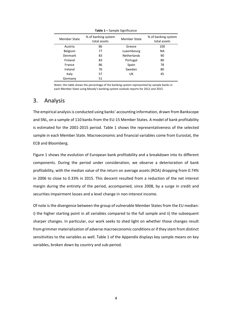| <b>Member State</b> | % of banking system<br>total assets | <b>Member State</b> | % of banking system<br>total assets |  |
|---------------------|-------------------------------------|---------------------|-------------------------------------|--|
| Austria             | 86                                  | Greece              | 100                                 |  |
| Belgium             | 77                                  | Luxembourg          | <b>NA</b>                           |  |
| Denmark             | 83                                  | <b>Netherlands</b>  | 90                                  |  |
| Finland             | 83                                  | Portugal            | 80                                  |  |
| France              | 86                                  | Spain               | 78                                  |  |
| Ireland             | 76                                  | Sweden              | 80                                  |  |
| Italy               | 57                                  | UK                  | 45                                  |  |
| Germany             | 51                                  |                     |                                     |  |

**Table 1 –** Sample Significance

*Notes*: the table shows the percentage of the banking system represented by sample banks in each Member State using Moody's banking system outlook reports for 2012 and 2015.

#### 3. Analysis

The empirical analysisis conducted using banks' accounting information, drawn from Bankscope and SNL, on a sample of 110 banks from the EU-15 Member States. A model of bank profitability is estimated for the 2001‐2015 period. Table 1 shows the representativeness of the selected sample in each Member State. Macroeconomic and financial variables come from Eurostat, the ECB and Bloomberg.

Figure 1 shows the evolution of European bank profitability and a breakdown into its different components. During the period under consideration, we observe a deterioration of bank profitability, with the median value of the return on average assets (ROA) dropping from 0.74% in 2006 to close to 0.33% in 2015. This descent resulted from a reduction of the net interest margin during the entirety of the period, accompanied, since 2008, by a surge in credit and securities impairment losses and a level change in non-interest income.

Of note is the divergence between the group of vulnerable Member States from the EU median: i) the higher starting point in all variables compared to the full sample and ii) the subsequent sharper changes. In particular, our work seeks to shed light on whether those changes result from grimmer materialization of adverse macroeconomic conditions orif they stem from distinct sensitivities to the variables as well. Table 1 of the Appendix displays key sample means on key variables, broken down by country and sub‐period.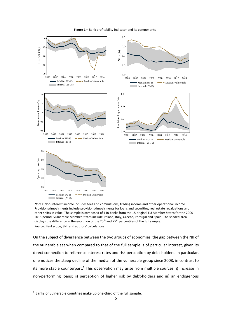

*Notes*: Non-interest income includes fees and commissions, trading income and other operational income. Provisions/impairments include provisions/impairments for loans and securities, real estate revaluations and other shifts in value. The sample is composed of 110 banks from the 15 original EU Member States for the 2000‐ 2015 period. Vulnerable Member States include Ireland, Italy, Greece, Portugal and Spain. The shaded area displays the difference in the evolution of the 25<sup>th</sup> and 75<sup>th</sup> percentiles of the full sample. *Source*: Bankscope, SNL and authors' calculations.

On the subject of divergence between the two groups of economies, the gap between the NII of the vulnerable set when compared to that of the full sample is of particular interest, given its direct connection to reference interest rates and risk perception by debt-holders. In particular, one notices the steep decline of the median of the vulnerable group since 2008, in contrast to its more stable counterpart.<sup>2</sup> This observation may arise from multiple sources: i) Increase in non-performing loans; ii) perception of higher risk by debt-holders and iii) an endogenous

<sup>&</sup>lt;sup>2</sup> Banks of vulnerable countries make up one-third of the full sample.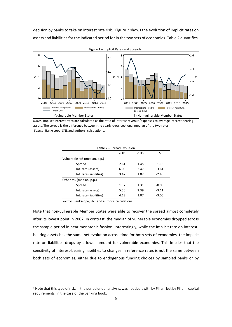decision by banks to take on interest rate risk.<sup>3</sup> Figure 2 shows the evolution of implicit rates on assets and liabilities for the indicated period for in the two sets of economies. Table 2 quantifies.



**Figure 2 –** Implicit Rates and Spreads

*Notes:* Implicit interest rates are calculated as the ratio of interest revenue/expenses to average interest bearing assets. The spread is the difference between the yearly cross‐sectional median of the two rates. *Source*: Bankscope, SNL and authors' calculations.

| <b>Table 2 - Spread Evolution</b> |      |      |         |  |  |  |  |  |
|-----------------------------------|------|------|---------|--|--|--|--|--|
| 2001<br>2015<br>Δ                 |      |      |         |  |  |  |  |  |
| Vulnerable MS (median, p.p.)      |      |      |         |  |  |  |  |  |
| Spread                            | 2.61 | 1.45 | $-1.16$ |  |  |  |  |  |
| Int. rate (assets)                | 6.08 | 2.47 | $-3.61$ |  |  |  |  |  |
| Int. rate (liabilities)           | 3.47 | 1.02 | $-2.45$ |  |  |  |  |  |
| Other MS (median, p.p.)           |      |      |         |  |  |  |  |  |
| Spread                            | 1.37 | 1.31 | $-0.06$ |  |  |  |  |  |
| Int. rate (assets)                | 5.50 | 2.39 | $-3.11$ |  |  |  |  |  |
| Int. rate (liabilities)           | 4.13 | 1.07 | $-3.06$ |  |  |  |  |  |

*Source*: Bankscope, SNL and authors' calculations.

Note that non‐vulnerable Member States were able to recover the spread almost completely after its lowest point in 2007. In contrast, the median of vulnerable economies dropped across the sample period in near monotonic fashion. Interestingly, while the implicit rate on interestbearing assets has the same net evolution across time for both sets of economies, the implicit rate on liabilities drops by a lower amount for vulnerable economies. This implies that the sensitivity of interest-bearing liabilities to changes in reference rates is not the same between both sets of economies, either due to endogenous funding choices by sampled banks or by

<sup>&</sup>lt;sup>3</sup> Note that this type of risk, in the period under analysis, was not dealt with by Pillar I but by Pillar II capital requirements, in the case of the banking book.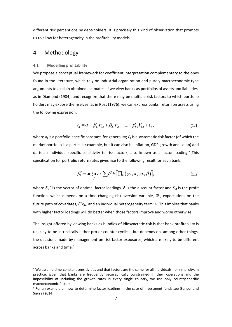different risk perceptions by debt-holders. It is precisely this kind of observation that prompts us to allow for heterogeneity in the profitability models.

#### 4. Methodology

#### **4.1 Modelling profitability**

We propose a conceptual framework for coefficient interpretation complementary to the ones found in the literature, which rely on industrial organization and purely macroeconomic‐type arguments to explain obtained estimates. If we view banks as portfolios of assets and liabilities, as in Diamond (1984), and recognize that there may be multiple risk factors to which portfolio holders may expose themselves, as in Ross (1976), we can express banks' return on assets using the following expression:

$$
r_{it} = a_i + \beta_{l,i} F_{l,t} + \beta_{2,i} F_{2,t} + \dots + \beta_{k,i} F_{k,t} + \varepsilon_{it},
$$
\n(1.1)

where  $a_i$  is a portfolio-specific constant, for generality;  $F_s$  is a systematic risk factor (of which the market portfolio is a particular example, but it can also be inflation, GDP growth and so on) and *βsi* is an individual‐specific sensitivity to risk factor*s*, also known as a factor loading.*<sup>4</sup>* This specification for portfolio return rates gives rise to the following result for each bank:

$$
\beta_i^* = \arg \max_{\beta} \sum \delta^t E\Big[\prod_{i} (\psi_{i}, \mathbf{x}_{i}, \eta_i, \beta)\Big], \tag{1.2}
$$

where *β <sup>i</sup> \** is the vector of optimal factor loadings, δ is the discount factor and *Πit* is the profit function, which depends on a time changing risk‐aversion variable, *Ψit*, expectations on the future path of covariates,  $E(x_{it})$ , and an individual heterogeneity term  $\eta_i$ . This implies that banks with higher factor loadings will do better when those factors improve and worse otherwise.

The insight offered by viewing banks as bundles of idiosyncratic risk is that bank profitability is unlikely to be intrinsically either pro or counter‐cyclical, but depends on, among other things, the decisions made by management on risk factor exposures, which are likely to be different across banks and time.<sup>5</sup>

<sup>4</sup> We assume time‐constant sensitivities and that factors are the same for all individuals, for simplicity. In practice, given that banks are frequently geographically constrained in their operations and the impossibility of including the growth rates in every single country, we use only country‐specific macroeconomic factors.

<sup>&</sup>lt;sup>5</sup> For an example on how to determine factor loadings in the case of investment funds see Gungor and Sierra (2014).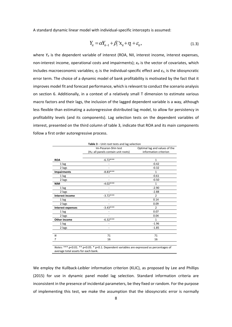A standard dynamic linear model with individual‐specific intercepts is assumed:

$$
Y_{it} = \alpha Y_{it-1} + \beta_i X_{it} + \eta_i + \varepsilon_i, \qquad (1.3)
$$

where  $Y_{it}$  is the dependent variable of interest (ROA, NII, interest income, interest expenses, non-interest income, operational costs and impairments);  $x_{it}$  is the vector of covariates, which includes macroeconomic variables; *η<sup>i</sup>* is the individual‐specific effect and *εit*, is the idiosyncratic error term. The choice of a dynamic model of bank profitability is motivated by the fact that it improves model fit and forecast performance, which is relevant to conduct the scenario analysis on section 6. Additionally, in a context of a relatively small T dimension to estimate various macro factors and their lags, the inclusion of the lagged dependent variable is a way, although less flexible than estimating a autoregressive distributed lag model, to allow for persistency in profitability levels (and its components). Lag selection tests on the dependent variables of interest, presented on the third column of table 3, indicate that ROA and its main components follow a first order autoregressive process.

|                          | Table 3 - Unit root tests and lag selection      |                               |  |  |
|--------------------------|--------------------------------------------------|-------------------------------|--|--|
|                          | Im-Pesaran-Shin test                             | Optimal lag and values of the |  |  |
|                          | (H <sub>0</sub> : all panels contain unit roots) | information criterion         |  |  |
|                          |                                                  |                               |  |  |
| <b>ROA</b>               | $-6.72***$                                       | $\mathbf{1}$                  |  |  |
| 1 lag                    |                                                  | $-0.42$                       |  |  |
| 2 lags                   |                                                  | $-0.32$                       |  |  |
| <b>Impairments</b>       | $-8.83***$                                       | $\mathbf{1}$                  |  |  |
| 1 lag                    | ٠                                                | $-0.61$                       |  |  |
| 2 lags                   |                                                  | $-0.50$                       |  |  |
| <b>NIM</b>               | $-4.02***$                                       | $\mathbf{1}$                  |  |  |
| 1 lag                    |                                                  | $-2.90$                       |  |  |
| 2 lags                   | ٠                                                | $-2.88$                       |  |  |
| <b>Interest income</b>   | $-3.72***$                                       | $\overline{2}$                |  |  |
| 1 lag                    |                                                  | 0.14                          |  |  |
| 2 lags                   |                                                  | 0.09                          |  |  |
| <b>Interest expenses</b> | $-3.43***$                                       | $\overline{2}$                |  |  |
| 1 lag                    |                                                  | 0.07                          |  |  |
| 2 lags                   |                                                  | 0.04                          |  |  |
| Other income             | $-6.32***$                                       | $\mathbf{1}$                  |  |  |
| 1 lag                    | $\overline{a}$                                   | $-1.96$                       |  |  |
| 2 lags                   |                                                  | $-1.85$                       |  |  |
|                          |                                                  |                               |  |  |
| N                        | 71                                               | 71                            |  |  |
| т                        | 16                                               | 16                            |  |  |
|                          |                                                  |                               |  |  |

*Notes*: \*\*\* p<0.01. \*\* p<0.05. \* p<0.1. Dependent variables are expressed as percentages of average total assets for each bank.

We employ the Kullback-Leibler information criterion (KLIC), as proposed by Lee and Phillips (2015) for use in dynamic panel model lag selection. Standard information criteria are inconsistent in the presence of incidental parameters, be they fixed or random. For the purpose of implementing this test, we make the assumption that the idiosyncratic error is normally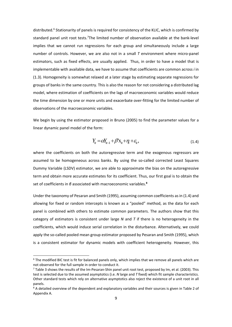distributed.<sup>6</sup> Stationarity of panels is required for consistency of the KLIC, which is confirmed by standard panel unit root tests.<sup>7</sup>The limited number of observation available at the bank-level implies that we cannot run regressions for each group and simultaneously include a large number of controls. However, we are also not in a small *T* environment where micro‐panel estimators, such as fixed effects, are usually applied. Thus, in order to have a model that is implementable with available data, we have to assume that coefficients are common across *i* in (1.3). Homogeneity is somewhat relaxed at a later stage by estimating separate regressions for groups of banks in the same country. This is also the reason for not considering a distributed lag model, where estimation of coefficients on the lags of macroeconomic variables would reduce the time dimension by one or more units and exacerbate over‐fitting for the limited number of observations of the macroeconomic variables.

We begin by using the estimator proposed in Bruno (2005) to find the parameter values for a linear dynamic panel model of the form:

$$
Y_{it} = \alpha Y_{it-1} + \beta' X_{it} + \eta_t + \varepsilon_{it},\tag{1.4}
$$

where the coefficients on both the autoregressive term and the exogenous regressors are assumed to be homogeneous across banks. By using the so-called corrected Least Squares Dummy Variable (LSDV) estimator, we are able to approximate the bias on the autoregressive term and obtain more accurate estimates for its coefficient. Thus, our first goal is to obtain the set of coefficients in *β* associated with macroeconomic variables.**<sup>8</sup>**

Under the taxonomy of Pesaran and Smith (1995), assuming common coefficients as in (1.4) and allowing for fixed or random intercepts is known as a "pooled" method, as the data for each panel is combined with others to estimate common parameters. The authors show that this category of estimators is consistent under large *N* and *T* if there is no heterogeneity in the coefficients, which would induce serial correlation in the disturbance. Alternatively, we could apply the so-called pooled mean group estimator proposed by Pesaran and Smith (1995), which is a consistent estimator for dynamic models with coefficient heterogeneity. However, this

<sup>&</sup>lt;sup>6</sup> The modified BIC test is fit for balanced panels only, which implies that we remove all panels which are not observed for the full sample in order to conduct it.

<sup>&</sup>lt;sup>7</sup> Table 3 shows the results of the Im-Pesaran-Shin panel unit root test, proposed by Im, et al. (2003). This test is selected due to the assumed asymptotics (i.e. *N* large and *T* fixed) which fit sample characteristics. Other standard tests which rely on alternative asymptotics also reject the existence of a unit root in all panels.

<sup>&</sup>lt;sup>8</sup> A detailed overview of the dependent and explanatory variables and their sources is given in Table 2 of Appendix A.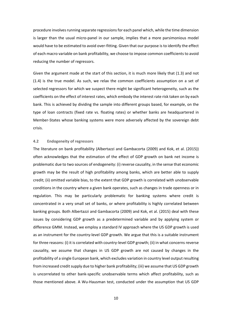procedure involves running separate regressions for each panel which, while the time dimension is larger than the usual micro‐panel in our sample, implies that a more parsimonious model would have to be estimated to avoid over-fitting. Given that our purpose is to identify the effect of each macro variable on bank profitability, we choose to impose common coefficients to avoid reducing the number of regressors.

Given the argument made at the start of this section, it is much more likely that (1.3) and not (1.4) is the true model. As such, we relax the common coefficients assumption on a set of selected regressors for which we suspect there might be significant heterogeneity, such as the coefficients on the effect of interest rates, which embody the interest rate risk taken on by each bank. This is achieved by dividing the sample into different groups based, for example, on the type of loan contracts (fixed rate vs. floating rates) or whether banks are headquartered in Member‐States whose banking systems were more adversely affected by the sovereign debt crisis.

#### **4.2 Endogeneity of regressors**

The literature on bank profitability (Albertazzi and Gambacorta (2009) and Kok, et al. (2015)) often acknowledges that the estimation of the effect of GDP growth on bank net income is problematic due to two sources of endogeneity: (i) reverse causality, in the sense that economic growth may be the result of high profitability among banks, which are better able to supply credit; (ii) omitted variable bias, to the extent that GDP growth is correlated with unobservable conditions in the country where a given bank operates, such as changes in trade openness or in regulation. This may be particularly problematic for banking systems where credit is concentrated in a very small set of banks, or where profitability is highly correlated between banking groups. Both Albertazzi and Gambacorta (2009) and Kok, et al. (2015) deal with these issues by considering GDP growth as a predetermined variable and by applying system or difference GMM. Instead, we employ a standard IV approach where the US GDP growth is used as an instrument for the country‐level GDP growth. We argue that this is a suitable instrument for three reasons: (i) it is correlated with country‐level GDP growth; (ii) in what concerns reverse causality, we assume that changes in US GDP growth are not caused by changes in the profitability of a single European bank, which excludes variation in country level output resulting from increased credit supply due to higher bank profitability; (iii) we assume that US GDP growth is uncorrelated to other bank‐specific unobservable terms which affect profitability, such as those mentioned above. A Wu‐Hausman test, conducted under the assumption that US GDP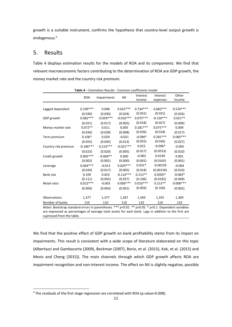growth is a suitable instrument, confirms the hypothesis that country-level output growth is endogenous.<sup>9</sup>

#### 5. Results

Table 4 displays estimation results for the models of ROA and its components. We find that relevant macroeconomic factors contributing to the determination of ROA are GDP growth, the money market rate and the country risk premium.

|                      | <b>ROA</b>  | Impairments | NII         | Interest<br>income | Interest<br>expenses | Other<br>income |
|----------------------|-------------|-------------|-------------|--------------------|----------------------|-----------------|
|                      |             |             |             |                    |                      |                 |
| Lagged dependent     | $0.109***$  | 0.048       | $0.652***$  | $0.734***$         | $0.682***$           | $0.524***$      |
|                      | (0.030)     | (0.030)     | (0.024)     | (0.031)            | (0.031)              | (0.026)         |
| GDP growth           | $0.082***$  | $-0.059***$ | $-0.016***$ | $0.075***$         | $-0.150***$          | $0.021**$       |
|                      | (0.021)     | (0.017)     | (0.005)     | (0.018)            | (0.027)              | (0.009)         |
| Money market rate    | $0.072**$   | 0.011       | 0.005       | $0.281***$         | $0.075***$           | 0.009           |
|                      | (0.034)     | (0.028)     | (0.008)     | (0.036)            | (0.018)              | (0.017)         |
| Term premium         | $0.106*$    | 0.029       | $-0.021$    | $-0.096*$          | $0.281***$           | $0.085***$      |
|                      | (0.055)     | (0.045)     | (0.013)     | (0.055)            | (0.036)              | (0.027)         |
| Country risk premium | $-0.186***$ | $0.214***$  | $-0.021***$ | 0.015              | $-0.096*$            | $-0.005$        |
|                      | (0.023)     | (0.020)     | (0.005)     | (0.017)            | (0.0553)             | (0.010)         |
| Credit growth        | $0.005***$  | $-0.004**$  | 0.000       | $-0.002$           | 0.0149               | 0.001           |
|                      | (0.002)     | (0.001)     | (0.000)     | (0.001)            | (0.0165)             | (0.001)         |
| Leverage             | $0.064***$  | $-0.013$    | $0.029***$  | $0.031*$           | $-0.00159$           | $-0.004$        |
|                      | (0.020)     | (0.017)     | (0.005)     | (0.018)            | (0.00150)            | (0.010)         |
| Bank size            | 0.109       | 0.023       | $-0.116***$ | $0.213**$          | $0.0305*$            | $-0.083*$       |
|                      | (0.111)     | (0.092)     | (0.027)     | (0.106)            | (0.0182)             | (0.049)         |
| Retail ratio         | $0.013***$  | $-0.003$    | $0.006***$  | $0.010***$         | $0.213**$            | $0.008***$      |
|                      | (0.004)     | (0.003)     | (0.001)     | (0.003)            | (0.106)              | (0.002)         |
|                      |             |             |             |                    |                      |                 |
| Observations         | 1,377       | 1,377       | 1,367       | 1,349              | 1,355                | 1,369           |
| Number of banks      | 110         | 110         | 110         | 110                | 110                  | 110             |

**Table 4** – Estimation Results ‐ Common coefficients model

*Notes*: Bootstrap standard errors in parentheses. \*\*\* p<0.01. \*\* p<0.05. \* p<0.1. Dependent variables are expressed as percentages of average total assets for each bank. Lags in addition to the first are supressed from the table.

We find that the positive effect of GDP growth on bank profitability stems from its impact on impairments. This result is consistent with a wide scope of literature elaborated on this topic (Albertazzi and Gambacorta (2009), Beckman (2007), Borio, et al. (2015), Kok, et al. (2015) and Mevis and Cheng (2015)). The main channels through which GDP growth affects ROA are impairment recognition and non-interest income. The effect on NII is slightly negative, possibly

 $9$  The residuals of the first stage regression are correlated with ROA (p-value=0.008).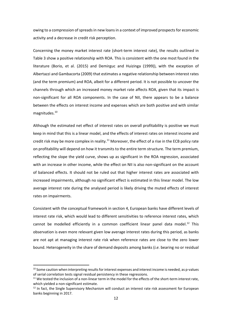owing to a compression of spreads in new loans in a context of improved prospects for economic activity and a decrease in credit risk perception.

Concerning the money market interest rate (short-term interest rate), the results outlined in Table 3 show a positive relationship with ROA. This is consistent with the one most found in the literature (Borio, et al. (2015) and Demirguc and Huizinga (1999)), with the exception of Albertazzi and Gambacorta (2009) that estimates a negative relationship between interest rates (and the term premium) and ROA, albeit for a different period. It is not possible to uncover the channels through which an increased money market rate affects ROA, given that its impact is non‐significant for all ROA components. In the case of NII, there appears to be a balance between the effects on interest income and expenses which are both positive and with similar magnitudes.10

Although the estimated net effect of interest rates on overall profitability is positive we must keep in mind that this is a linear model, and the effects of interest rates on interest income and credit risk may be more complex in reality.<sup>11</sup> Moreover, the effect of a rise in the ECB policy rate on profitability will depend on how it transmits to the entire term structure. The term premium, reflecting the slope the yield curve, shows up as significant in the ROA regression, associated with an increase in other income, while the effect on NII is also non-significant on the account of balanced effects. It should not be ruled out that higher interest rates are associated with increased impairments, although no significant effect is estimated in this linear model. The low average interest rate during the analysed period is likely driving the muted effects of interest rates on impairments.

Consistent with the conceptual framework in section 4, European banks have different levels of interest rate risk, which would lead to different sensitivities to reference interest rates, which cannot be modelled efficiently in a common coefficient linear panel data model.<sup>12</sup> This observation is even more relevant given low average interest rates during this period, as banks are not apt at managing interest rate risk when reference rates are close to the zero lower bound. Heterogeneity in the share of demand deposits among banks (*i.e.* bearing no or residual

<sup>10</sup> Some caution when interpreting results for interest expenses and interest income is needed, as p-values of serial correlation tests signal residual persistency in these regressions.

 $11$  We tested the inclusion of a non-linear term in the model for the effects of the short-term interest rate, which yielded a non-significant estimate.

<sup>&</sup>lt;sup>12</sup> In fact, the Single Supervisory Mechanism will conduct an interest rate risk assessment for European banks beginning in 2017.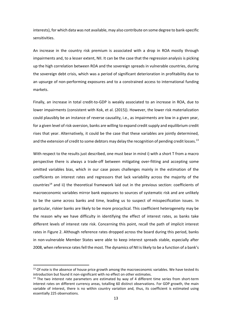interests), for which data was not available, may also contribute on some degree to bank‐specific sensitivities.

An increase in the country risk premium is associated with a drop in ROA mostly through impairments and, to a lesser extent, NII. It can be the case that the regression analysis is picking up the high correlation between ROA and the sovereign spreads in vulnerable countries, during the sovereign debt crisis, which was a period of significant deterioration in profitability due to an upsurge of non‐performing exposures and to a constrained access to international funding markets.

Finally, an increase in total credit-to-GDP is weakly associated to an increase in ROA, due to lower impairments (consistent with Kok, et al. (2015)). However, the lower risk materialization could plausibly be an instance of reverse causality, i.e., as impairments are low in a given year, for a given level of risk‐aversion, banks are willing to expand credit supply and equilibrium credit rises that year. Alternatively, it could be the case that these variables are jointly determined, and the extension of credit to some debtors may delay the recognition of pending credit losses.<sup>13</sup>

With respect to the results just described, one must bear in mind i) with a short T from a macro perspective there is always a trade‐off between mitigating over‐fitting and accepting some omitted variables bias, which in our case poses challenges mainly in the estimation of the coefficients on interest rates and regressors that lack variability across the majority of the countries<sup>14</sup> and ii) the theoretical framework laid out in the previous section: coefficients of macroeconomic variables mirror bank exposures to sources of systematic risk and are unlikely to be the same across banks and time, leading us to suspect of misspecification issues. In particular, riskier banks are likely to be more procyclical. This coefficient heterogeneity may be the reason why we have difficulty in identifying the effect of interest rates, as banks take different levels of interest rate risk. Concerning this point, recall the path of implicit interest rates in Figure 2. Although reference rates dropped across the board during this period, banks in non‐vulnerable Member States were able to keep interest spreads stable, especially after 2008, when reference rates fell the most. The dynamics of NII is likely to be a function of a bank's

<sup>&</sup>lt;sup>13</sup> Of note is the absence of house price growth among the macroeconomic variables. We have tested its introduction but found it non‐significant with no effect on other estimates.

 $14$  The two interest rate parameters are estimated by way of 4 different time series from short-term interest rates on different currency areas, totalling 60 distinct observations. For GDP growth, the main variable of interest, there is no within country variation and, thus, its coefficient is estimated using essentially 225 observations.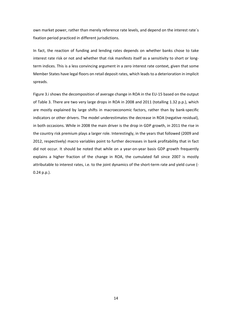own market power, rather than merely reference rate levels, and depend on the interest rate´s fixation period practiced in different jurisdictions.

In fact, the reaction of funding and lending rates depends on whether banks chose to take interest rate risk or not and whether that risk manifests itself as a sensitivity to short or long‐ term indices. This is a less convincing argument in a zero interest rate context, given that some Member States have legal floors on retail deposit rates, which leads to a deterioration in implicit spreads.

Figure 3.i shows the decomposition of average change in ROA in the EU‐15 based on the output of Table 3. There are two very large drops in ROA in 2008 and 2011 (totalling 1.32 p.p.), which are mostly explained by large shifts in macroeconomic factors, rather than by bank‐specific indicators or other drivers. The model underestimates the decrease in ROA (negative residual), in both occasions. While in 2008 the main driver is the drop in GDP growth, in 2011 the rise in the country risk premium plays a larger role. Interestingly, in the years that followed (2009 and 2012, respectively) macro variables point to further decreases in bank profitability that in fact did not occur. It should be noted that while on a year-on-year basis GDP growth frequently explains a higher fraction of the change in ROA, the cumulated fall since 2007 is mostly attributable to interest rates, i.e. to the joint dynamics of the short-term rate and yield curve (-0.24 p.p.).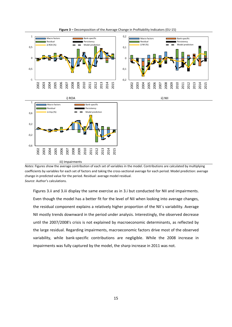

**Figure 3 –** Decomposition of the Average Change in Profitability Indicators (EU‐15)

*Notes*: Figures show the average contribution of each set of variables in the model. Contributions are calculated by multiplying coefficients by variables for each set of factors and taking the cross‐sectional average for each period. Model prediction: average change in predicted value for the period. Residual: average model residual. *Source*: Author's calculations.

Figures 3.ii and 3.iii display the same exercise as in 3.i but conducted for NII and impairments. Even though the model has a better fit for the level of NII when looking into average changes, the residual component explains a relatively higher proportion of the NII´s variability. Average NII mostly trends downward in the period under analysis. Interestingly, the observed decrease until the 2007/2008's crisis is not explained by macroeconomic determinants, as reflected by the large residual. Regarding impairments, macroeconomic factors drive most of the observed variability, while bank‐specific contributions are negligible. While the 2008 increase in impairments was fully captured by the model, the sharp increase in 2011 was not.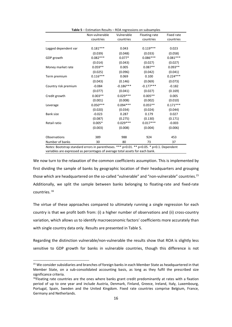| Table 5 - Estimation Results - ROA regressions on subsamples                               |                |             |               |                   |  |  |  |
|--------------------------------------------------------------------------------------------|----------------|-------------|---------------|-------------------|--|--|--|
|                                                                                            | Non-vulnerable | Vulnerable  | Floating-rate | <b>Fixed rate</b> |  |  |  |
|                                                                                            | countries      | countries   | countries     | countries         |  |  |  |
|                                                                                            |                |             |               |                   |  |  |  |
| Lagged dependent var                                                                       | $0.181***$     | 0.043       | $0.119***$    | 0.023             |  |  |  |
|                                                                                            | (0.039)        | (0.048)     | (0.033)       | (0.058)           |  |  |  |
| GDP growth                                                                                 | $0.082***$     | $0.077*$    | $0.086***$    | $0.081***$        |  |  |  |
|                                                                                            | (0.014)        | (0.043)     | (0.027)       | (0.027)           |  |  |  |
| Money market rate                                                                          | $0.059**$      | 0.005       | $0.087**$     | $0.093**$         |  |  |  |
|                                                                                            | (0.025)        | (0.096)     | (0.042)       | (0.041)           |  |  |  |
| Term premium                                                                               | $0.116***$     | 0.069       | 0.100         | $0.224***$        |  |  |  |
|                                                                                            | (0.043)        | (0.146)     | (0.069)       | (0.073)           |  |  |  |
| Country risk premium                                                                       | $-0.084$       | $-0.186***$ | $-0.177***$   | $-0.182$          |  |  |  |
|                                                                                            | (0.077)        | (0.041)     | (0.027)       | (0.169)           |  |  |  |
| Credit growth                                                                              | $0.003**$      | $0.029***$  | $0.005**$     | 0.005             |  |  |  |
|                                                                                            | (0.001)        | (0.008)     | (0.002)       | (0.010)           |  |  |  |
| Leverage                                                                                   | $0.050***$     | $0.094***$  | $0.055**$     | $0.171***$        |  |  |  |
|                                                                                            | (0.020)        | (0.034)     | (0.024)       | (0.044)           |  |  |  |
| <b>Bank size</b>                                                                           | $-0.023$       | 0.287       | 0.179         | 0.027             |  |  |  |
|                                                                                            | (0.087)        | (0.275)     | (0.130)       | (0.171)           |  |  |  |
| Retail ratio                                                                               | $0.005*$       | $0.029***$  | $0.017***$    | $-0.003$          |  |  |  |
|                                                                                            | (0.003)        | (0.008)     | (0.004)       | (0.006)           |  |  |  |
| Observations                                                                               | 389            | 988         | 924           | 453               |  |  |  |
| Number of banks                                                                            | 30             | 80          | 73            | 37                |  |  |  |
| Notes: Bootstrap standard errors in parentheses. *** p<0.01. ** p<0.05. * p<0.1. Dependent |                |             |               |                   |  |  |  |

variables are expressed as percentages of average total assets for each bank.

We now turn to the relaxation of the common coefficients assumption. This is implemented by first dividing the sample of banks by geographic location of their headquarters and grouping those which are headquartered on the so-called "vulnerable" and "non-vulnerable" countries.<sup>15</sup> Additionally, we split the sample between banks belonging to floating-rate and fixed-rate countries. <sup>16</sup>

The virtue of these approaches compared to ultimately running a single regression for each country is that we profit both from: (i) a higher number of observations and (ii) cross‐country variation, which allows us to identify macroeconomic factors' coefficients more accurately than with single country data only. Results are presented in Table 5.

Regarding the distinction vulnerable/non‐vulnerable the results show that ROA is slightly less sensitive to GDP growth for banks in vulnerable countries, though this difference is not

<sup>&</sup>lt;sup>15</sup> We consider subsidiaries and branches of foreign banks in each Member State as headquartered in that Member State, on a sub-consolidated accounting basis, as long as they fulfil the prescribed size significance criteria.

 $16$ Floating rate countries are the ones where banks grant credit predominantly at rates with a fixation period of up to one year and include Austria, Denmark, Finland, Greece, Ireland, Italy, Luxembourg, Portugal, Spain, Sweden and the United Kingdom. Fixed rate countries comprise Belgium, France, Germany and Netherlands.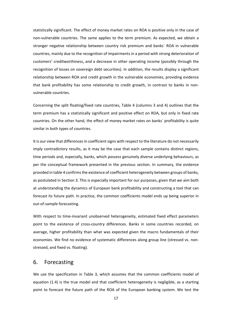statistically significant. The effect of money market rates on ROA is positive only in the case of non‐vulnerable countries. The same applies to the term premium. As expected, we obtain a stronger negative relationship between country risk premium and banks´ ROA in vulnerable countries, mainly due to the recognition of impairments in a period with strong deterioration of customers' creditworthiness, and a decrease in other operating income (possibly through the recognition of losses on sovereign debt securities). In addition, the results display a significant relationship between ROA and credit growth in the vulnerable economies, providing evidence that bank profitability has some relationship to credit growth, in contrast to banks in non‐ vulnerable countries.

Concerning the split floating/fixed rate countries, Table 4 (columns 3 and 4) outlines that the term premium has a statistically significant and positive effect on ROA, but only in fixed rate countries. On the other hand, the effect of money market rates on banks´ profitability is quite similar in both types of countries.

It is our view that differences in coefficient signs with respect to the literature do not necessarily imply contradictory results, as it may be the case that each sample contains distinct regions, time periods and, especially, banks, which possess genuinely diverse underlying behaviours, as per the conceptual framework presented in the previous section. In summary, the evidence provided in table 4 confirms the existence of coefficient heterogeneity between groups of banks, as postulated in Section 3. This is especially important for our purposes, given that we aim both at understanding the dynamics of European bank profitability and constructing a tool that can forecast its future path. In practice, the common coefficients model ends up being superior in out‐of‐sample forecasting.

With respect to time-invariant unobserved heterogeneity, estimated fixed effect parameters point to the existence of cross-country differences. Banks in some countries recorded, on average, higher profitability than what was expected given the macro fundamentals of their economies. We find no evidence of systematic differences along group line (stressed vs. non‐ stressed, and fixed vs. floating).

#### 6. Forecasting

We use the specification in Table 3, which assumes that the common coefficients model of equation (1.4) is the true model and that coefficient heterogeneity is negligible, as a starting point to forecast the future path of the ROA of the European banking system. We test the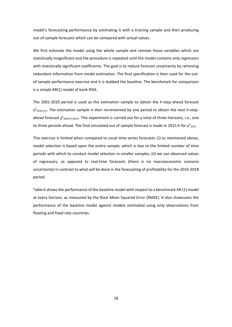model's forecasting performance by estimating it with a training sample and then producing out‐of‐sample forecasts which can be compared with actual values.

We first estimate the model using the whole sample and remove those variables which are statistically insignificant and the procedure is repeated until the model contains only regressors with statistically significant coefficients. The goal is to reduce forecast uncertainty by removing redundant information from model estimation. The final specification is then used for the out‐ of-sample performance exercise and it is dubbed the baseline. The benchmark for comparison is a simple AR(1) model of bank ROA.

The 2001-2010 period is used as the estimation sample to obtain the h-step-ahead forecast  $y<sup>h</sup>$ 2010+h|t. The estimation sample is then incremented by one period to obtain the next h-stepahead forecast y<sup>h</sup><sub>2010+h|2010</sub>. This experiment is carried out for a total of three horizons, i.e., one to three periods ahead. The final simulated out of sample forecast is made in 2015-h for  $y<sup>h</sup>_{2015}$ .

This exercise is limited when compared to usual time-series forecasts: (i) as mentioned above, model selection is based upon the entire sample, which is due to the limited number of time periods with which to conduct model selection in smaller samples; (ii) we use observed values of regressors, as opposed to real‐time forecasts (there is no macroeconomic scenario uncertainty) in contrast to what will be done in the forecasting of profitability for the 2016‐2018 period.

Table 6 showsthe performance of the baseline model with respect to a benchmark AR (1) model at every horizon, as measured by the Root Mean Squared Error (RMSE). It also showcases the performance of the baseline model against models estimated using only observations from floating and fixed rate countries.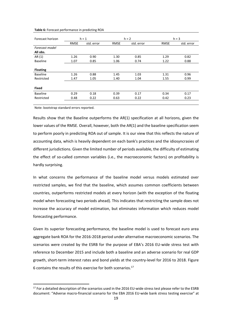#### **Table 6:** Forecast performance in predicting ROA

|                  |             |            |             |            | $h = 3$     |            |  |
|------------------|-------------|------------|-------------|------------|-------------|------------|--|
| Forecast horizon |             | $h = 1$    |             | $h = 2$    |             |            |  |
|                  | <b>RMSE</b> | std. error | <b>RMSE</b> | std. error | <b>RMSE</b> | std. error |  |
| Forecast model   |             |            |             |            |             |            |  |
| All obs.         |             |            |             |            |             |            |  |
| AR (1)           | 1.26        | 0.90       | 1.30        | 0.85       | 1.29        | 0.82       |  |
| <b>Baseline</b>  | 1.07        | 0.85       | 1.06        | 0.74       | 1.22        | 0.88       |  |
|                  |             |            |             |            |             |            |  |
| <b>Floating</b>  |             |            |             |            |             |            |  |
| <b>Baseline</b>  | 1.26        | 0.88       | 1.45        | 1.03       | 1.31        | 0.96       |  |
| Restricted       | 1.47        | 1.05       | 1.40        | 1.04       | 1.55        | 0.99       |  |
|                  |             |            |             |            |             |            |  |
| <b>Fixed</b>     |             |            |             |            |             |            |  |
| <b>Baseline</b>  | 0.29        | 0.18       | 0.39        | 0.17       | 0.34        | 0.17       |  |
| Restricted       | 0.48        | 0.22       | 0.63        | 0.22       | 0.42        | 0.23       |  |
|                  |             |            |             |            |             |            |  |

Note: bootstrap standard errors reported.

Results show that the Baseline outperforms the AR(1) specification at all horizons, given the lower values of the RMSE. Overall, however, both the AR(1) and the baseline specification seem to perform poorly in predicting ROA out of sample. It is our view that this reflects the nature of accounting data, which is heavily dependent on each bank's practices and the idiosyncrasies of different jurisdictions. Given the limited number of periods available, the difficulty of estimating the effect of so-called common variables (i.e., the macroeconomic factors) on profitability is hardly surprising.

In what concerns the performance of the baseline model versus models estimated over restricted samples, we find that the baseline, which assumes common coefficients between countries, outperforms restricted models at every horizon (with the exception of the floating model when forecasting two periods ahead). This indicates that restricting the sample does not increase the accuracy of model estimation, but eliminates information which reduces model forecasting performance.

Given its superior forecasting performance, the baseline model is used to forecast euro area aggregate bank ROA for the 2016‐2018 period under alternative macroeconomic scenarios. The scenarios were created by the ESRB for the purpose of EBA's 2016 EU-wide stress test with reference to December 2015 and include both a baseline and an adverse scenario for real GDP growth, short-term interest rates and bond yields at the country-level for 2016 to 2018. Figure 6 contains the results of this exercise for both scenarios.<sup>17</sup>

<sup>&</sup>lt;sup>17</sup> For a detailed description of the scenarios used in the 2016 EU-wide stress test please refer to the ESRB document: "Adverse macro‐financial scenario for the EBA 2016 EU‐wide bank stress testing exercise" at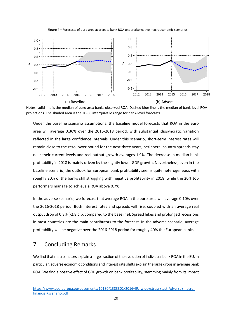

Notes: solid line is the median of euro area banks observed ROA. Dashed blue line is the median of bank‐level ROA projections. The shaded area is the 20‐80 interquartile range for bank‐level forecasts.

Under the baseline scenario assumptions, the baseline model forecasts that ROA in the euro area will average 0.36% over the 2016‐2018 period, with substantial idiosyncratic variation reflected in the large confidence intervals. Under this scenario, short-term interest rates will remain close to the zero lower bound for the next three years, peripheral country spreads stay near their current levels and real output growth averages 1.9%. The decrease in median bank profitability in 2018 is mainly driven by the slightly lower GDP growth. Nevertheless, even in the baseline scenario, the outlook for European bank profitability seems quite heterogeneous with roughly 20% of the banks still struggling with negative profitability in 2018, while the 20% top performers manage to achieve a ROA above 0.7%.

In the adverse scenario, we forecast that average ROA in the euro area will average 0.10% over the 2016‐2018 period. Both interest rates and spreads will rise, coupled with an average real output drop of 0.8% (‐2.8 p.p. compared to the baseline). Spread hikes and prolonged recessions in most countries are the main contributors to the forecast. In the adverse scenario, average profitability will be negative over the 2016‐2018 period for roughly 40% the European banks.

#### 7. Concluding Remarks

We find that macro factors explain a large fraction of the evolution of individual bank ROA in the EU. In particular, adverse economic conditions and interest rate shifts explain the large drops in average bank ROA. We find a positive effect of GDP growth on bank profitability, stemming mainly from its impact

https://www.eba.europa.eu/documents/10180/1383302/2016+EU-wide+stress+test-Adverse+macrofinancial+scenario.pdf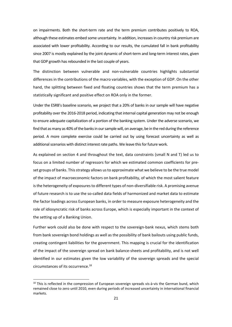on impairments. Both the short‐term rate and the term premium contributes positively to ROA, although these estimates embed some uncertainty. In addition, increases in country risk premium are associated with lower profitability. According to our results, the cumulated fall in bank profitability since 2007 is mostly explained by the joint dynamic of short-term and long-term interest rates, given that GDP growth has rebounded in the last couple of years.

The distinction between vulnerable and non‐vulnerable countries highlights substantial differences in the contributions of the macro variables, with the exception of GDP. On the other hand, the splitting between fixed and floating countries shows that the term premium has a statistically significant and positive effect on ROA only in the former.

Under the ESRB's baseline scenario, we project that a 20% of banks in our sample will have negative profitability over the 2016‐2018 period, indicating that internal capital generation may not be enough to ensure adequate capitalization of a portion of the banking system. Under the adverse scenario, we find that as many as 40% of the banks in our sample will, on average, be in the red during the reference period. A more complete exercise could be carried out by using forecast uncertainty as well as additional scenarios with distinct interest rate paths. We leave this for future work.

As explained on section 4 and throughout the text, data constraints (small N and T) led us to focus on a limited number of regressors for which we estimated common coefficients for pre‐ set groups of banks. This strategy allows us to approximate what we believe to be the true model of the impact of macroeconomic factors on bank profitability, of which the most salient feature isthe heterogeneity of exposuresto different types of non‐diversifiable risk. A promising avenue of future research is to use the so‐called data fields of harmonized and market data to estimate the factor loadings across European banks, in order to measure exposure heterogeneity and the role of idiosyncratic risk of banks across Europe, which is especially important in the context of the setting up of a Banking Union.

Further work could also be done with respect to the sovereign-bank nexus, which stems both from bank sovereign bond holdings as well as the possibility of bank bailouts using public funds, creating contingent liabilities for the government. This mapping is crucial for the identification of the impact of the sovereign spread on bank balance‐sheets and profitability, and is not well identified in our estimates given the low variability of the sovereign spreads and the special circumstances of its occurrence.<sup>18</sup>

<sup>&</sup>lt;sup>18</sup> This is reflected in the compression of European sovereign spreads vis-à-vis the German bund, which remained close to zero until 2010, even during periods of increased uncertainty in international financial markets.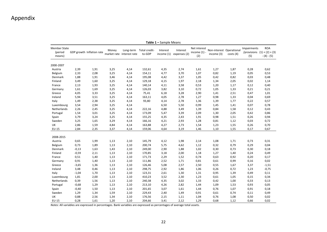### Appendix

| <b>Member State</b><br>(period<br>means) |         | GDP growth Inflation rate | Money | Long-term<br>market rate interest rate | Total credit-<br>to-GDP | Interest<br>income $(1)$ | Interest<br>expenses (2) | Net interest<br>income $(1)$ -<br>(2) | Non-interest Operational<br>income (3) | costs(4) | <b>Impairments</b><br>(5) | <b>ROA</b><br>/provisions $(1) + (2) + (3)$<br>$-(4)-(5)$ |
|------------------------------------------|---------|---------------------------|-------|----------------------------------------|-------------------------|--------------------------|--------------------------|---------------------------------------|----------------------------------------|----------|---------------------------|-----------------------------------------------------------|
| 2000-2007                                |         |                           |       |                                        |                         |                          |                          |                                       |                                        |          |                           |                                                           |
| Austria                                  | 2,39    | 1,91                      | 3,25  | 4,14                                   | 132,61                  | 4,35                     | 2,74                     | 1,61                                  | 1,27                                   | 1,87     | 0,28                      | 0,62                                                      |
| Belgium                                  | 2,33    | 2,08                      | 3,25  | 4,14                                   | 154,11                  | 4,77                     | 3,70                     | 1,07                                  | 0,82                                   | 1,19     | 0,05                      | 0,53                                                      |
| Denmark                                  | 1,88    | 1,91                      | 3,46  | 4,14                                   | 195,08                  | 4,42                     | 3,37                     | 1,05                                  | 0,42                                   | 0,82     | 0,03                      | 0,48                                                      |
| Finland                                  | 3,49    | 1,60                      | 3,25  | 4,14                                   | 129,18                  | 4,15                     | 1,97                     | 2,18                                  | 1,34                                   | 2,05     | 0,02                      | 1,14                                                      |
| France                                   | 2,13    | 1,93                      | 3,25  | 4,14                                   | 140,14                  | 4,11                     | 3,58                     | 0,53                                  | 1,20                                   | 1,17     | 0,12                      | 0,40                                                      |
| Germany                                  | 1,61    | 1,69                      | 3,25  | 4,14                                   | 126,03                  | 3,82                     | 3,10                     | 0,72                                  | 1,05                                   | 1,33     | 0,21                      | 0,21                                                      |
| Greece                                   | 4,05    | 3,33                      | 3,25  | 4,14                                   | 75,41                   | 6,18                     | 3,28                     | 2,90                                  | 1,41                                   | 2,51     | 0,47                      | 1,01                                                      |
| Ireland                                  | 5,94    | 3,51                      | 3,25  | 4,14                                   | 163,11                  | 4,05                     | 2,78                     | 1,27                                  | 0,98                                   | 1,33     | 0,04                      | 0,69                                                      |
| Italy                                    | 1,49    | 2,38                      | 3,25  | 4,14                                   | 93,80                   | 4,14                     | 2,78                     | 1,36                                  | 1,39                                   | 1,77     | 0,22                      | 0,57                                                      |
| Luxembourg                               | 3,54    | 2,94                      | 3,25  | 4,14                                   |                         | 6,50                     | 5,50                     | 0,99                                  | 1,45                                   | 1,41     | 0,07                      | 0,78                                                      |
| Netherlands                              | 2,26    | 2,45                      | 3,25  | 4,14                                   | 222,16                  | 4,88                     | 3,49                     | 1,39                                  | 0,84                                   | 1,58     | 0,12                      | 0,43                                                      |
| Portugal                                 | 1,54    | 3,01                      | 3,25  | 4,14                                   | 173,09                  | 5,47                     | 3,39                     | 2,09                                  | 1,30                                   | 2,05     | 0,42                      | 0,86                                                      |
| Spain                                    | 3,79    | 3,24                      | 3,25  | 4,14                                   | 155,25                  | 4,35                     | 2,43                     | 1,91                                  | 0,98                                   | 1,51     | 0,26                      | 0,94                                                      |
| Sweden                                   | 3,25    | 1,65                      | 3,29  | 4,14                                   | 166,16                  | 4,21                     | 2,93                     | 1,28                                  | 0,81                                   | 1,12     | 0,03                      | 0,72                                                      |
| UK                                       | 2,86    | 1,59                      | 4,84  | 4,14                                   | 163,88                  | 4,27                     | 2,73                     | 1,54                                  | 1,23                                   | 1,55     | 0,26                      | 0,70                                                      |
| EU-15                                    | 2,84    | 2,35                      | 3,37  | 4,14                                   | 159,06                  | 4,64                     | 3,19                     | 1,46                                  | 1,10                                   | 1,55     | 0,17                      | 0,67                                                      |
|                                          |         |                           |       |                                        |                         |                          |                          |                                       |                                        |          |                           |                                                           |
| 2008-2015                                |         |                           |       |                                        |                         |                          |                          |                                       |                                        |          |                           |                                                           |
| Austria                                  | 0,65    | 1,99                      | 1,13  | 2,10                                   | 145,79                  | 4,12                     | 1,98                     | 2,14                                  | 1,08                                   | 1,71     | 0,73                      | 0,31                                                      |
| Belgium                                  | 0,73    | 1,89                      | 1,13  | 2,10                                   | 200,74                  | 5,75                     | 4,62                     | 1,12                                  | 0,32                                   | 0,79     | 0,29                      | 0,04                                                      |
| Denmark                                  | $-0,13$ | 1,63                      | 1,43  | 2,10                                   | 249,00                  | 2,90                     | 1,88                     | 1,02                                  | 0,30                                   | 0,73     | 0,30                      | 0,18                                                      |
| Finland                                  | $-0,59$ | 2,11                      | 1,13  | 2,10                                   | 170,85                  | 3,18                     | 2,00                     | 1,18                                  | 1,27                                   | 1,40     | 0,24                      | 0,49                                                      |
| France                                   | 0,51    | 1,40                      | 1,13  | 2,10                                   | 171,73                  | 2,29                     | 1,52                     | 0,74                                  | 0,63                                   | 0,92     | 0,20                      | 0,17                                                      |
| Germany                                  | 0,91    | 1,40                      | 1,13  | 2,10                                   | 111,86                  | 2,52                     | 1,71                     | 0,81                                  | 0,61                                   | 0,99     | 0,16                      | 0,02                                                      |
| Greece                                   | $-3,65$ | 1,36                      | 1,13  | 2,10                                   | 126,46                  | 5,08                     | 2,57                     | 2,50                                  | 0,55                                   | 1,67     | 3,37                      | $-1,51$                                                   |
| Ireland                                  | 3,48    | 0,46                      | 1,13  | 2,10                                   | 298,75                  | 2,92                     | 1,86                     | 1,06                                  | 0,26                                   | 0,72     | 1,23                      | $-0,75$                                                   |
| Italy                                    | $-1,04$ | 1,70                      | 1,13  | 2,10                                   | 123,31                  | 2,61                     | 1,30                     | 1,31                                  | 0,95                                   | 1,39     | 0,49                      | 0,11                                                      |
| Luxembourg                               | 1,81    | 2,00                      | 1,13  | 2,10                                   | 410,23                  | 3,52                     | 2,30                     | 1,23                                  | 0,61                                   | 1,05     | 0,15                      | 0,34                                                      |
| Netherlands                              | 0,39    | 1,56                      | 1,13  | 2,10                                   | 240,38                  | 4,35                     | 3,02                     | 1,33                                  | 0,42                                   | 1,00     | 0,33                      | 0,13                                                      |
| Portugal                                 | $-0,68$ | 1,29                      | 1,13  | 2,10                                   | 213,10                  | 4,26                     | 2,82                     | 1,44                                  | 1,09                                   | 1,53     | 0,93                      | 0,05                                                      |
| Spain                                    | $-0,40$ | 1,50                      | 1,13  | 2,10                                   | 201,65                  | 3,07                     | 1,61                     | 1,44                                  | 0,76                                   | 1,07     | 0,91                      | 0,18                                                      |
| Sweden                                   | 1,29    | 1,34                      | 1,59  | 2,10                                   | 229,43                  | 2,40                     | 1,49                     | 0,91                                  | 0,61                                   | 0,74     | 0,11                      | 0,49                                                      |
| <b>UK</b>                                | 0,88    | 2,56                      | 1,34  | 2,10                                   | 176,56                  | 2,15                     | 1,11                     | 1,04                                  | 0,76                                   | 1,08     | 0,50                      | 0,02                                                      |
| EU-15                                    | 0,28    | 1,61                      | 1,20  | 2,10                                   | 204,66                  | 3,41                     | 2,12                     | 1,29                                  | 0,68                                   | 1,12     | 0,66                      | 0,02                                                      |

**Table 1 –** Sample Means

*Notes*: All variables are expressed in percentages. Bank variables are expressed as percentages of average total assets.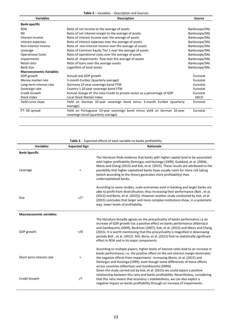**Table 2** – Variables ‐ Description and Sources

| <b>Description</b>                                                         | <b>Source</b> |
|----------------------------------------------------------------------------|---------------|
|                                                                            |               |
| Ratio of net income to the average of assets                               | Bankscope/SNL |
| Ratio of net interest margin to the average of assets                      | Bankscope/SNL |
| Ratio of interest income over the average of assets                        | Bankscope/SNL |
| Ratio of interest expenses over the average of assets                      | Bankscope/SNL |
| Ratio of non-interest income over the average of assets                    | Bankscope/SNL |
| Ratio of Common Equity Tier 1 over the average of assets                   | Bankscope/SNL |
| Ratio of operational costs over the average of assets                      | Bankscope/SNL |
| Ratio of impairments' flow over the average of assets                      | Bankscope/SNL |
| Ratio of loans over the average assets                                     | Bankscope/SNL |
| Logarithm of total assets                                                  | Bankscope/SNL |
|                                                                            |               |
| Annual real GDP growth                                                     | Eurostat      |
| 3-month Euribor (quarterly average)                                        | Eurostat      |
| Germany 10 year sovereign bond YTM                                         | Eurostat      |
| Country's 10-year sovereign bond YTM                                       | Eurostat      |
| Annual change of the ratio Credit to private sector as a percentage of GDP | Eurostat      |
| Local Stock Market Index                                                   | OECD          |
| Yield on German 10-year sovereign bond minus 3-month Euribor (quarterly    | Eurostat      |
| average)                                                                   |               |
| Yield on Portuguese 10-year sovereign bond minus yield on German 10-year   | Eurostat      |
| sovereign bond (quarterly average)                                         |               |
|                                                                            |               |

| <b>Variables</b>               | <b>Expected Sign</b> | Rationale                                                                                                                                                                                                                                                                                                                                                                                                                                                                          |
|--------------------------------|----------------------|------------------------------------------------------------------------------------------------------------------------------------------------------------------------------------------------------------------------------------------------------------------------------------------------------------------------------------------------------------------------------------------------------------------------------------------------------------------------------------|
| <b>Bank-Specific</b>           |                      |                                                                                                                                                                                                                                                                                                                                                                                                                                                                                    |
| Leverage                       | $\ddot{}$            | The literature finds evidence that banks with higher capital tend to be associated<br>with higher profitability Demirguc and Huizinga (1999), Goddard, et al. (2004),<br>Mevis and Cheng (2015) and Kok, et al. (2015). These results are attributed to the<br>possibility that higher capitalized banks have usually room for more risk taking<br>(which according to the theory generates more profitability) than<br>undercapitalized banks.                                    |
| <b>Size</b>                    | $+$ /?               | According to some studies, scale economies exist in banking and larger banks are<br>able to profit from diversification, thus increasing their performance (Bolt, et al.<br>(2012) and Borio, et al. (2015)). However another study conducted by Kok, et al.<br>(2015) concludes that larger and more complex institutions show, in a systematic<br>way, lower levels of profitability.                                                                                            |
| <b>Macroeconomic variables</b> |                      |                                                                                                                                                                                                                                                                                                                                                                                                                                                                                    |
| GDP growth                     | $+/0$                | The literature broadly agrees on the procyclicality of banks performance i.e an<br>increase of GDP growth has a positive effect on banks performance (Albertazzi<br>and Gambacorta (2009), Beckman (2007), Kok, et al. (2015) and Mevis and Cheng<br>(2015). It is worth mentioning that this procyclicality is magnified in downswing<br>periods Bolt, et al. (2012). Still, Borio, et al. (2015) find no statistically significant<br>effect in ROA and in its major components. |
| Short-term interest rate       | $\ddot{}$            | According to multiple papers, higher levels of interest rates lead to an increase in<br>banks performance, i.e. the positive effect on the net interest margin dominates<br>the negative effects from impairments' increasing (Borio, et al. (2015) and<br>Demirguc and Huizinga (1999), even though some differences of these effects<br>across countries (Albertazzi and Gambacorta (2009)).                                                                                     |
| Credit Growth                  | -/?                  | Given the study carried out by Kok, et al. (2015) we could expect a positive<br>relationship between this ratio and banks profitability. Nevertheless, considering<br>that this ratio means that economy's indebtedness, we can also expect a<br>negative impact on banks profitability through an increase of impairments.                                                                                                                                                        |

**Table 3 ‐** Expected effects of each variable on banks profitability